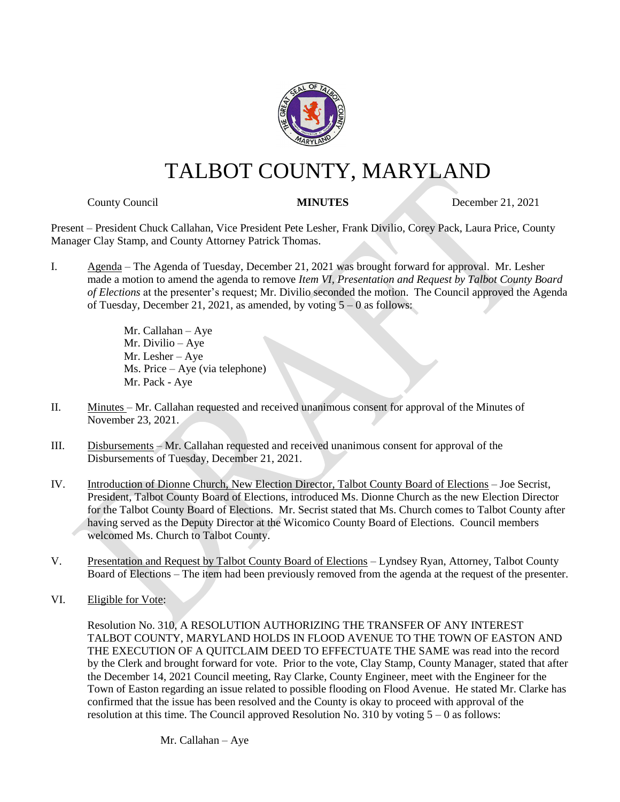

## TALBOT COUNTY, MARYLAND

**County Council MINUTES** December 21, 2021

Present – President Chuck Callahan, Vice President Pete Lesher, Frank Divilio, Corey Pack, Laura Price, County Manager Clay Stamp, and County Attorney Patrick Thomas.

I. Agenda – The Agenda of Tuesday, December 21, 2021 was brought forward for approval. Mr. Lesher made a motion to amend the agenda to remove *Item VI, Presentation and Request by Talbot County Board of Elections* at the presenter's request; Mr. Divilio seconded the motion. The Council approved the Agenda of Tuesday, December 21, 2021, as amended, by voting 5 – 0 as follows:

> Mr. Callahan – Aye Mr. Divilio – Aye Mr. Lesher – Aye Ms. Price – Aye (via telephone) Mr. Pack - Aye

- II. Minutes Mr. Callahan requested and received unanimous consent for approval of the Minutes of November 23, 2021.
- III. Disbursements Mr. Callahan requested and received unanimous consent for approval of the Disbursements of Tuesday, December 21, 2021.
- IV. Introduction of Dionne Church, New Election Director, Talbot County Board of Elections Joe Secrist, President, Talbot County Board of Elections, introduced Ms. Dionne Church as the new Election Director for the Talbot County Board of Elections. Mr. Secrist stated that Ms. Church comes to Talbot County after having served as the Deputy Director at the Wicomico County Board of Elections. Council members welcomed Ms. Church to Talbot County.
- V. Presentation and Request by Talbot County Board of Elections Lyndsey Ryan, Attorney, Talbot County Board of Elections – The item had been previously removed from the agenda at the request of the presenter.
- VI. Eligible for Vote:

Resolution No. 310, A RESOLUTION AUTHORIZING THE TRANSFER OF ANY INTEREST TALBOT COUNTY, MARYLAND HOLDS IN FLOOD AVENUE TO THE TOWN OF EASTON AND THE EXECUTION OF A QUITCLAIM DEED TO EFFECTUATE THE SAME was read into the record by the Clerk and brought forward for vote. Prior to the vote, Clay Stamp, County Manager, stated that after the December 14, 2021 Council meeting, Ray Clarke, County Engineer, meet with the Engineer for the Town of Easton regarding an issue related to possible flooding on Flood Avenue. He stated Mr. Clarke has confirmed that the issue has been resolved and the County is okay to proceed with approval of the resolution at this time. The Council approved Resolution No. 310 by voting 5 – 0 as follows:

Mr. Callahan – Aye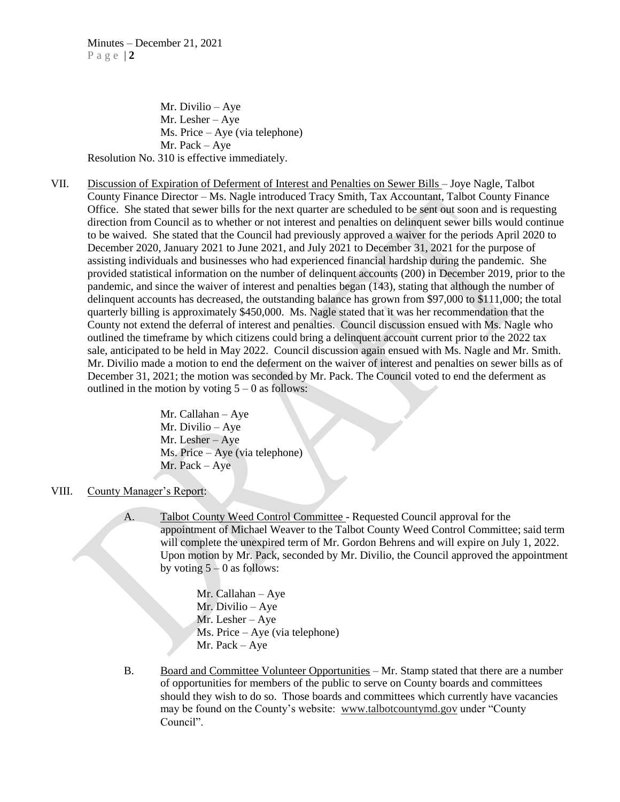Mr. Divilio – Aye Mr. Lesher – Aye Ms. Price – Aye (via telephone) Mr. Pack – Aye Resolution No. 310 is effective immediately.

VII. Discussion of Expiration of Deferment of Interest and Penalties on Sewer Bills – Joye Nagle, Talbot County Finance Director – Ms. Nagle introduced Tracy Smith, Tax Accountant, Talbot County Finance Office. She stated that sewer bills for the next quarter are scheduled to be sent out soon and is requesting direction from Council as to whether or not interest and penalties on delinquent sewer bills would continue to be waived. She stated that the Council had previously approved a waiver for the periods April 2020 to December 2020, January 2021 to June 2021, and July 2021 to December 31, 2021 for the purpose of assisting individuals and businesses who had experienced financial hardship during the pandemic. She provided statistical information on the number of delinquent accounts (200) in December 2019, prior to the pandemic, and since the waiver of interest and penalties began (143), stating that although the number of delinquent accounts has decreased, the outstanding balance has grown from \$97,000 to \$111,000; the total quarterly billing is approximately \$450,000. Ms. Nagle stated that it was her recommendation that the County not extend the deferral of interest and penalties. Council discussion ensued with Ms. Nagle who outlined the timeframe by which citizens could bring a delinquent account current prior to the 2022 tax sale, anticipated to be held in May 2022. Council discussion again ensued with Ms. Nagle and Mr. Smith. Mr. Divilio made a motion to end the deferment on the waiver of interest and penalties on sewer bills as of December 31, 2021; the motion was seconded by Mr. Pack. The Council voted to end the deferment as outlined in the motion by voting  $5 - 0$  as follows:

> Mr. Callahan – Aye Mr. Divilio – Aye Mr. Lesher – Aye Ms. Price – Aye (via telephone) Mr. Pack – Aye

- VIII. County Manager's Report:
	- A. Talbot County Weed Control Committee Requested Council approval for the appointment of Michael Weaver to the Talbot County Weed Control Committee; said term will complete the unexpired term of Mr. Gordon Behrens and will expire on July 1, 2022. Upon motion by Mr. Pack, seconded by Mr. Divilio, the Council approved the appointment by voting  $5 - 0$  as follows:

Mr. Callahan – Aye Mr. Divilio – Aye Mr. Lesher – Aye Ms. Price – Aye (via telephone) Mr. Pack – Aye

B. Board and Committee Volunteer Opportunities – Mr. Stamp stated that there are a number of opportunities for members of the public to serve on County boards and committees should they wish to do so. Those boards and committees which currently have vacancies may be found on the County's website: [www.talbotcountymd.gov](http://www.talbotcountymd.gov/) under "County Council".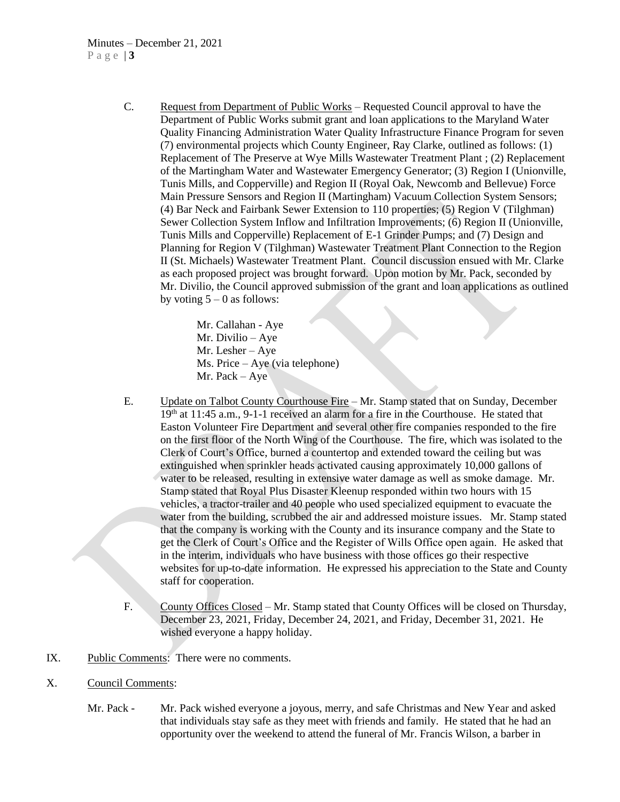## Minutes – December 21, 2021 P a g e | **3**

C. Request from Department of Public Works – Requested Council approval to have the Department of Public Works submit grant and loan applications to the Maryland Water Quality Financing Administration Water Quality Infrastructure Finance Program for seven (7) environmental projects which County Engineer, Ray Clarke, outlined as follows: (1) Replacement of The Preserve at Wye Mills Wastewater Treatment Plant ; (2) Replacement of the Martingham Water and Wastewater Emergency Generator; (3) Region I (Unionville, Tunis Mills, and Copperville) and Region II (Royal Oak, Newcomb and Bellevue) Force Main Pressure Sensors and Region II (Martingham) Vacuum Collection System Sensors; (4) Bar Neck and Fairbank Sewer Extension to 110 properties; (5) Region V (Tilghman) Sewer Collection System Inflow and Infiltration Improvements; (6) Region II (Unionville, Tunis Mills and Copperville) Replacement of E-1 Grinder Pumps; and (7) Design and Planning for Region V (Tilghman) Wastewater Treatment Plant Connection to the Region II (St. Michaels) Wastewater Treatment Plant. Council discussion ensued with Mr. Clarke as each proposed project was brought forward. Upon motion by Mr. Pack, seconded by Mr. Divilio, the Council approved submission of the grant and loan applications as outlined by voting  $5 - 0$  as follows:

> Mr. Callahan - Aye Mr. Divilio – Aye Mr. Lesher – Aye Ms. Price – Aye (via telephone) Mr. Pack – Aye

- E. Update on Talbot County Courthouse Fire Mr. Stamp stated that on Sunday, December 19<sup>th</sup> at 11:45 a.m., 9-1-1 received an alarm for a fire in the Courthouse. He stated that Easton Volunteer Fire Department and several other fire companies responded to the fire on the first floor of the North Wing of the Courthouse. The fire, which was isolated to the Clerk of Court's Office, burned a countertop and extended toward the ceiling but was extinguished when sprinkler heads activated causing approximately 10,000 gallons of water to be released, resulting in extensive water damage as well as smoke damage. Mr. Stamp stated that Royal Plus Disaster Kleenup responded within two hours with 15 vehicles, a tractor-trailer and 40 people who used specialized equipment to evacuate the water from the building, scrubbed the air and addressed moisture issues. Mr. Stamp stated that the company is working with the County and its insurance company and the State to get the Clerk of Court's Office and the Register of Wills Office open again. He asked that in the interim, individuals who have business with those offices go their respective websites for up-to-date information. He expressed his appreciation to the State and County staff for cooperation.
- F. County Offices Closed Mr. Stamp stated that County Offices will be closed on Thursday, December 23, 2021, Friday, December 24, 2021, and Friday, December 31, 2021. He wished everyone a happy holiday.
- IX. Public Comments: There were no comments.
- X. Council Comments:
	- Mr. Pack Mr. Pack wished everyone a joyous, merry, and safe Christmas and New Year and asked that individuals stay safe as they meet with friends and family. He stated that he had an opportunity over the weekend to attend the funeral of Mr. Francis Wilson, a barber in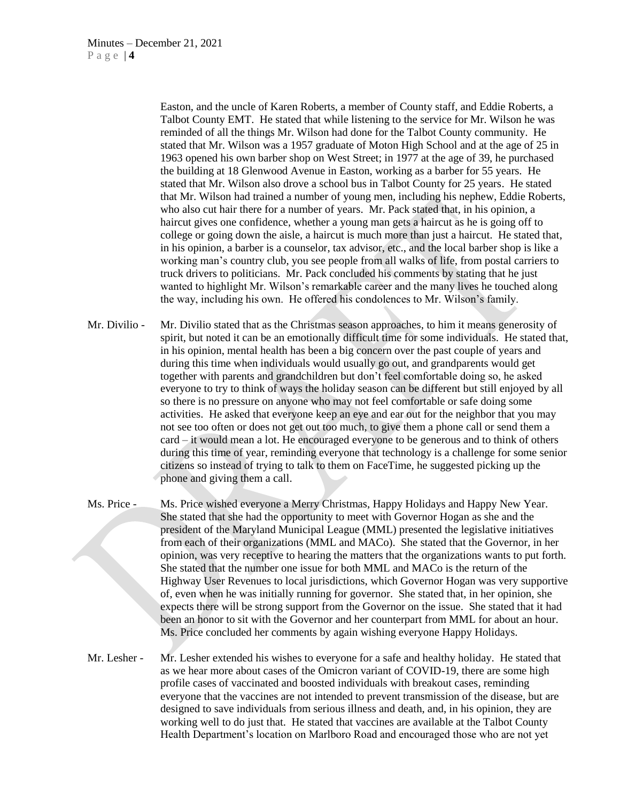Easton, and the uncle of Karen Roberts, a member of County staff, and Eddie Roberts, a Talbot County EMT. He stated that while listening to the service for Mr. Wilson he was reminded of all the things Mr. Wilson had done for the Talbot County community. He stated that Mr. Wilson was a 1957 graduate of Moton High School and at the age of 25 in 1963 opened his own barber shop on West Street; in 1977 at the age of 39, he purchased the building at 18 Glenwood Avenue in Easton, working as a barber for 55 years. He stated that Mr. Wilson also drove a school bus in Talbot County for 25 years. He stated that Mr. Wilson had trained a number of young men, including his nephew, Eddie Roberts, who also cut hair there for a number of years. Mr. Pack stated that, in his opinion, a haircut gives one confidence, whether a young man gets a haircut as he is going off to college or going down the aisle, a haircut is much more than just a haircut. He stated that, in his opinion, a barber is a counselor, tax advisor, etc., and the local barber shop is like a working man's country club, you see people from all walks of life, from postal carriers to truck drivers to politicians. Mr. Pack concluded his comments by stating that he just wanted to highlight Mr. Wilson's remarkable career and the many lives he touched along the way, including his own. He offered his condolences to Mr. Wilson's family.

- Mr. Divilio Mr. Divilio stated that as the Christmas season approaches, to him it means generosity of spirit, but noted it can be an emotionally difficult time for some individuals. He stated that, in his opinion, mental health has been a big concern over the past couple of years and during this time when individuals would usually go out, and grandparents would get together with parents and grandchildren but don't feel comfortable doing so, he asked everyone to try to think of ways the holiday season can be different but still enjoyed by all so there is no pressure on anyone who may not feel comfortable or safe doing some activities. He asked that everyone keep an eye and ear out for the neighbor that you may not see too often or does not get out too much, to give them a phone call or send them a card – it would mean a lot. He encouraged everyone to be generous and to think of others during this time of year, reminding everyone that technology is a challenge for some senior citizens so instead of trying to talk to them on FaceTime, he suggested picking up the phone and giving them a call.
- Ms. Price Ms. Price wished everyone a Merry Christmas, Happy Holidays and Happy New Year. She stated that she had the opportunity to meet with Governor Hogan as she and the president of the Maryland Municipal League (MML) presented the legislative initiatives from each of their organizations (MML and MACo). She stated that the Governor, in her opinion, was very receptive to hearing the matters that the organizations wants to put forth. She stated that the number one issue for both MML and MACo is the return of the Highway User Revenues to local jurisdictions, which Governor Hogan was very supportive of, even when he was initially running for governor. She stated that, in her opinion, she expects there will be strong support from the Governor on the issue. She stated that it had been an honor to sit with the Governor and her counterpart from MML for about an hour. Ms. Price concluded her comments by again wishing everyone Happy Holidays.
- Mr. Lesher Mr. Lesher extended his wishes to everyone for a safe and healthy holiday. He stated that as we hear more about cases of the Omicron variant of COVID-19, there are some high profile cases of vaccinated and boosted individuals with breakout cases, reminding everyone that the vaccines are not intended to prevent transmission of the disease, but are designed to save individuals from serious illness and death, and, in his opinion, they are working well to do just that. He stated that vaccines are available at the Talbot County Health Department's location on Marlboro Road and encouraged those who are not yet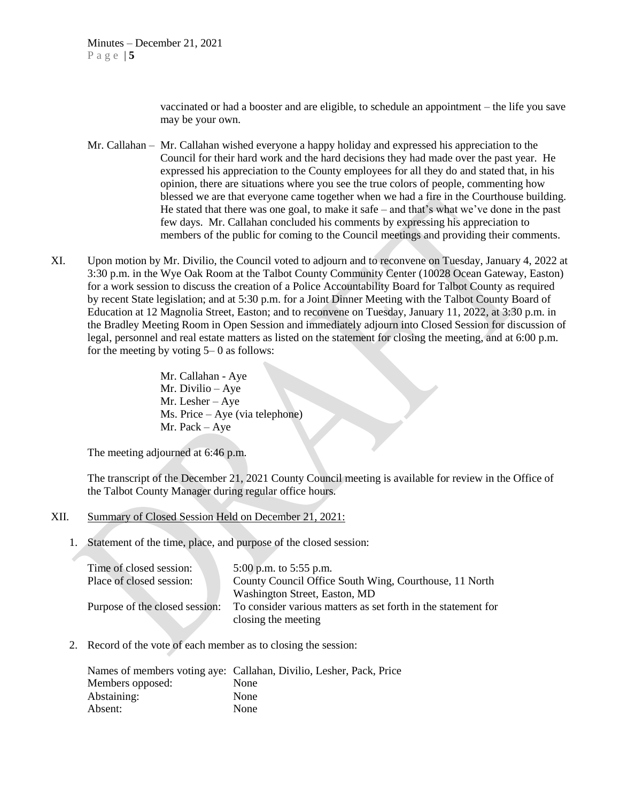vaccinated or had a booster and are eligible, to schedule an appointment – the life you save may be your own.

- Mr. Callahan Mr. Callahan wished everyone a happy holiday and expressed his appreciation to the Council for their hard work and the hard decisions they had made over the past year. He expressed his appreciation to the County employees for all they do and stated that, in his opinion, there are situations where you see the true colors of people, commenting how blessed we are that everyone came together when we had a fire in the Courthouse building. He stated that there was one goal, to make it safe – and that's what we've done in the past few days. Mr. Callahan concluded his comments by expressing his appreciation to members of the public for coming to the Council meetings and providing their comments.
- XI. Upon motion by Mr. Divilio, the Council voted to adjourn and to reconvene on Tuesday, January 4, 2022 at 3:30 p.m. in the Wye Oak Room at the Talbot County Community Center (10028 Ocean Gateway, Easton) for a work session to discuss the creation of a Police Accountability Board for Talbot County as required by recent State legislation; and at 5:30 p.m. for a Joint Dinner Meeting with the Talbot County Board of Education at 12 Magnolia Street, Easton; and to reconvene on Tuesday, January 11, 2022, at 3:30 p.m. in the Bradley Meeting Room in Open Session and immediately adjourn into Closed Session for discussion of legal, personnel and real estate matters as listed on the statement for closing the meeting, and at 6:00 p.m. for the meeting by voting  $5-0$  as follows:

Mr. Callahan - Aye Mr. Divilio – Aye Mr. Lesher – Aye Ms. Price – Aye (via telephone) Mr. Pack – Aye

The meeting adjourned at 6:46 p.m.

The transcript of the December 21, 2021 County Council meeting is available for review in the Office of the Talbot County Manager during regular office hours.

- XII. Summary of Closed Session Held on December 21, 2021:
	- 1. Statement of the time, place, and purpose of the closed session:

| Time of closed session:        | 5:00 p.m. to 5:55 p.m.                                        |
|--------------------------------|---------------------------------------------------------------|
| Place of closed session:       | County Council Office South Wing, Courthouse, 11 North        |
|                                | Washington Street, Easton, MD                                 |
| Purpose of the closed session: | To consider various matters as set forth in the statement for |
|                                | closing the meeting                                           |

2. Record of the vote of each member as to closing the session:

|                  | Names of members voting aye: Callahan, Divilio, Lesher, Pack, Price |
|------------------|---------------------------------------------------------------------|
| Members opposed: | None                                                                |
| Abstaining:      | None                                                                |
| Absent:          | None                                                                |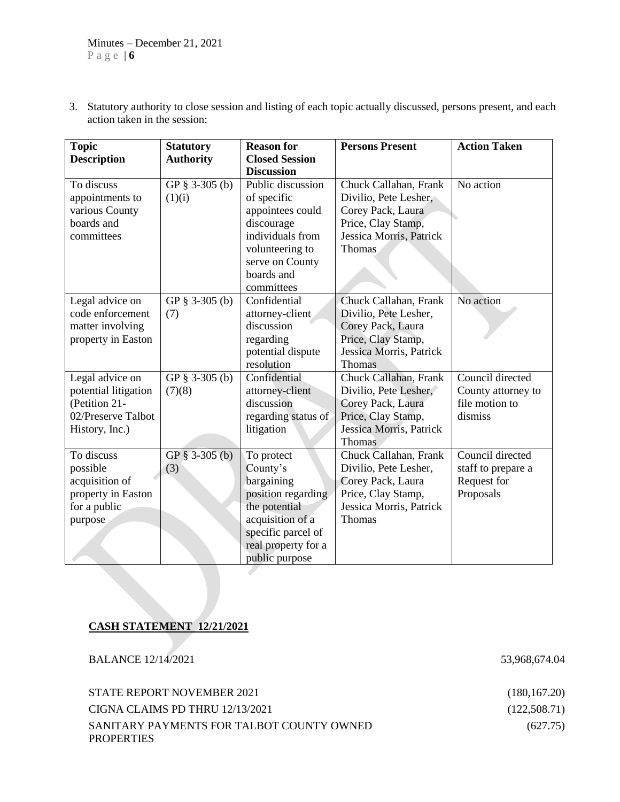3. Statutory authority to close session and listing of each topic actually discussed, persons present, and each action taken in the session:

| <b>Topic</b>         | <b>Statutory</b> | <b>Reason for</b>     | <b>Persons Present</b>  | <b>Action Taken</b> |
|----------------------|------------------|-----------------------|-------------------------|---------------------|
| <b>Description</b>   | <b>Authority</b> | <b>Closed Session</b> |                         |                     |
|                      |                  | <b>Discussion</b>     |                         |                     |
| To discuss           | GP § 3-305 (b)   | Public discussion     | Chuck Callahan, Frank   | No action           |
| appointments to      | (1)(i)           | of specific           | Divilio, Pete Lesher,   |                     |
| various County       |                  | appointees could      | Corey Pack, Laura       |                     |
| boards and           |                  | discourage            | Price, Clay Stamp,      |                     |
| committees           |                  | individuals from      | Jessica Morris, Patrick |                     |
|                      |                  | volunteering to       | Thomas                  |                     |
|                      |                  | serve on County       |                         |                     |
|                      |                  | boards and            |                         |                     |
|                      |                  | committees            |                         |                     |
| Legal advice on      | GP § 3-305 (b)   | Confidential          | Chuck Callahan, Frank   | No action           |
| code enforcement     | (7)              | attorney-client       | Divilio, Pete Lesher,   |                     |
| matter involving     |                  | discussion            | Corey Pack, Laura       |                     |
| property in Easton   |                  | regarding             | Price, Clay Stamp,      |                     |
|                      |                  | potential dispute     | Jessica Morris, Patrick |                     |
|                      |                  | resolution            | <b>Thomas</b>           |                     |
| Legal advice on      | GP § 3-305 (b)   | Confidential          | Chuck Callahan, Frank   | Council directed    |
| potential litigation | (7)(8)           | attorney-client       | Divilio, Pete Lesher,   | County attorney to  |
| (Petition 21-        |                  | discussion            | Corey Pack, Laura       | file motion to      |
| 02/Preserve Talbot   |                  | regarding status of   | Price, Clay Stamp,      | dismiss             |
| History, Inc.)       |                  | litigation            | Jessica Morris, Patrick |                     |
|                      |                  |                       | <b>Thomas</b>           |                     |
| To discuss           | GP $§$ 3-305 (b) | To protect            | Chuck Callahan, Frank   | Council directed    |
| possible             | (3)              | County's              | Divilio, Pete Lesher,   | staff to prepare a  |
| acquisition of       |                  | bargaining            | Corey Pack, Laura       | Request for         |
| property in Easton   |                  | position regarding    | Price, Clay Stamp,      | Proposals           |
| for a public         |                  | the potential         | Jessica Morris, Patrick |                     |
| purpose              |                  | acquisition of a      | Thomas                  |                     |
|                      |                  | specific parcel of    |                         |                     |
|                      |                  | real property for a   |                         |                     |
|                      |                  | public purpose        |                         |                     |
|                      |                  |                       |                         |                     |

## **CASH STATEMENT 12/21/2021**

BALANCE 12/14/2021 53,968,674.04

| STATE REPORT NOVEMBER 2021                | (180, 167.20) |
|-------------------------------------------|---------------|
| CIGNA CLAIMS PD THRU 12/13/2021           | (122,508.71)  |
| SANITARY PAYMENTS FOR TALBOT COUNTY OWNED | (627.75)      |
| <b>PROPERTIES</b>                         |               |